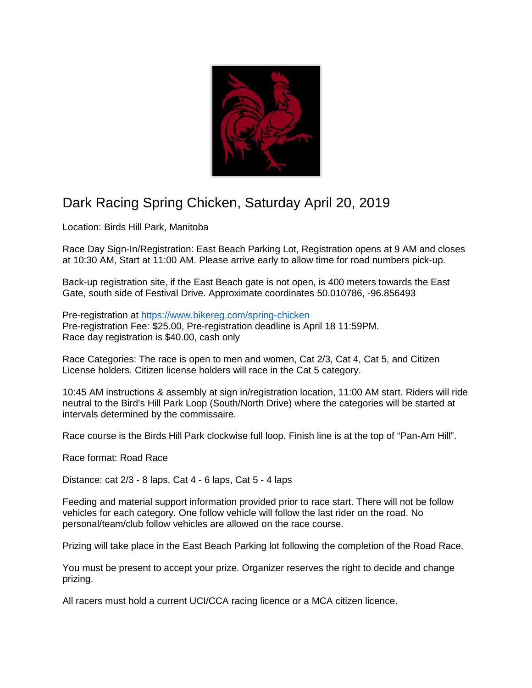

## Dark Racing Spring Chicken, Saturday April 20, 2019

Location: Birds Hill Park, Manitoba

Race Day Sign-In/Registration: East Beach Parking Lot, Registration opens at 9 AM and closes at 10:30 AM, Start at 11:00 AM. Please arrive early to allow time for road numbers pick-up.

Back-up registration site, if the East Beach gate is not open, is 400 meters towards the East Gate, south side of Festival Drive. Approximate coordinates 50.010786, -96.856493

Pre-registration at https://www.bikereg.com/spring-chicken Pre-registration Fee: \$25.00, Pre-registration deadline is April 18 11:59PM. Race day registration is \$40.00, cash only

Race Categories: The race is open to men and women, Cat 2/3, Cat 4, Cat 5, and Citizen License holders. Citizen license holders will race in the Cat 5 category.

10:45 AM instructions & assembly at sign in/registration location, 11:00 AM start. Riders will ride neutral to the Bird's Hill Park Loop (South/North Drive) where the categories will be started at intervals determined by the commissaire.

Race course is the Birds Hill Park clockwise full loop. Finish line is at the top of "Pan-Am Hill".

Race format: Road Race

Distance: cat 2/3 - 8 laps, Cat 4 - 6 laps, Cat 5 - 4 laps

Feeding and material support information provided prior to race start. There will not be follow vehicles for each category. One follow vehicle will follow the last rider on the road. No personal/team/club follow vehicles are allowed on the race course.

Prizing will take place in the East Beach Parking lot following the completion of the Road Race.

You must be present to accept your prize. Organizer reserves the right to decide and change prizing.

All racers must hold a current UCI/CCA racing licence or a MCA citizen licence.